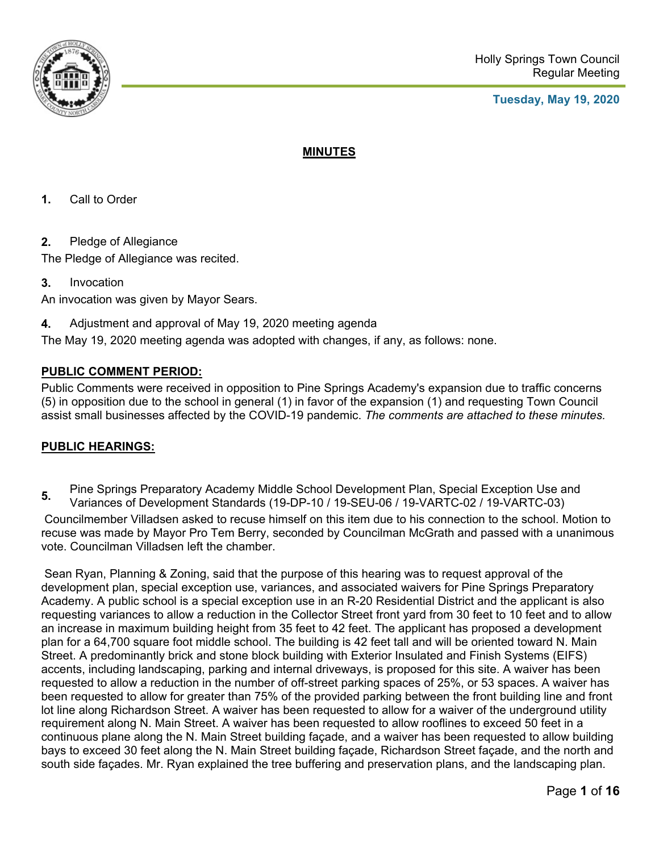

## **Tuesday, May 19, 2020**

# **MINUTES**

- **1.** Call to Order
- **2.** Pledge of Allegiance

The Pledge of Allegiance was recited.

**3.** Invocation

An invocation was given by Mayor Sears.

**4.** Adjustment and approval of May 19, 2020 meeting agenda

The May 19, 2020 meeting agenda was adopted with changes, if any, as follows: none.

# **PUBLIC COMMENT PERIOD:**

Public Comments were received in opposition to Pine Springs Academy's expansion due to traffic concerns (5) in opposition due to the school in general (1) in favor of the expansion (1) and requesting Town Council assist small businesses affected by the COVID-19 pandemic. *The comments are attached to these minutes.*

# **PUBLIC HEARINGS:**

**5.** Pine Springs Preparatory Academy Middle School Development Plan, Special Exception Use and<br>
1. (48 BB 48 (48 BB 48 (48 BB 48 (48 VABES 88 (48 VABES 88) Variances of Development Standards (19-DP-10 / 19-SEU-06 / 19-VARTC-02 / 19-VARTC-03)

 Councilmember Villadsen asked to recuse himself on this item due to his connection to the school. Motion to recuse was made by Mayor Pro Tem Berry, seconded by Councilman McGrath and passed with a unanimous vote. Councilman Villadsen left the chamber.

 Sean Ryan, Planning & Zoning, said that the purpose of this hearing was to request approval of the development plan, special exception use, variances, and associated waivers for Pine Springs Preparatory Academy. A public school is a special exception use in an R-20 Residential District and the applicant is also requesting variances to allow a reduction in the Collector Street front yard from 30 feet to 10 feet and to allow an increase in maximum building height from 35 feet to 42 feet. The applicant has proposed a development plan for a 64,700 square foot middle school. The building is 42 feet tall and will be oriented toward N. Main Street. A predominantly brick and stone block building with Exterior Insulated and Finish Systems (EIFS) accents, including landscaping, parking and internal driveways, is proposed for this site. A waiver has been requested to allow a reduction in the number of off-street parking spaces of 25%, or 53 spaces. A waiver has been requested to allow for greater than 75% of the provided parking between the front building line and front lot line along Richardson Street. A waiver has been requested to allow for a waiver of the underground utility requirement along N. Main Street. A waiver has been requested to allow rooflines to exceed 50 feet in a continuous plane along the N. Main Street building façade, and a waiver has been requested to allow building bays to exceed 30 feet along the N. Main Street building façade, Richardson Street façade, and the north and south side façades. Mr. Ryan explained the tree buffering and preservation plans, and the landscaping plan.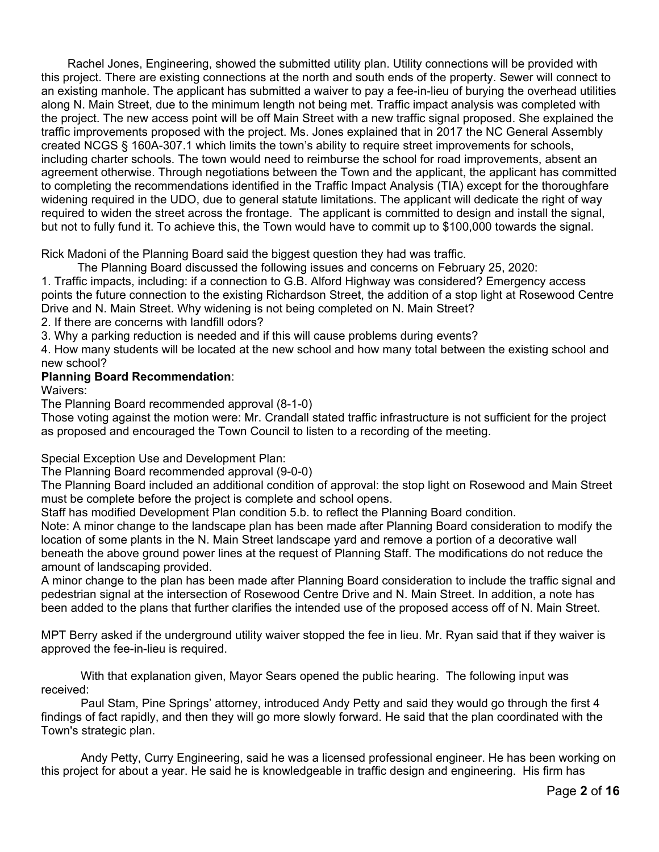Rachel Jones, Engineering, showed the submitted utility plan. Utility connections will be provided with this project. There are existing connections at the north and south ends of the property. Sewer will connect to an existing manhole. The applicant has submitted a waiver to pay a fee-in-lieu of burying the overhead utilities along N. Main Street, due to the minimum length not being met. Traffic impact analysis was completed with the project. The new access point will be off Main Street with a new traffic signal proposed. She explained the traffic improvements proposed with the project. Ms. Jones explained that in 2017 the NC General Assembly created NCGS § 160A-307.1 which limits the town's ability to require street improvements for schools, including charter schools. The town would need to reimburse the school for road improvements, absent an agreement otherwise. Through negotiations between the Town and the applicant, the applicant has committed to completing the recommendations identified in the Traffic Impact Analysis (TIA) except for the thoroughfare widening required in the UDO, due to general statute limitations. The applicant will dedicate the right of way required to widen the street across the frontage. The applicant is committed to design and install the signal, but not to fully fund it. To achieve this, the Town would have to commit up to \$100,000 towards the signal.

Rick Madoni of the Planning Board said the biggest question they had was traffic.

 The Planning Board discussed the following issues and concerns on February 25, 2020: 1. Traffic impacts, including: if a connection to G.B. Alford Highway was considered? Emergency access points the future connection to the existing Richardson Street, the addition of a stop light at Rosewood Centre Drive and N. Main Street. Why widening is not being completed on N. Main Street?

2. If there are concerns with landfill odors?

3. Why a parking reduction is needed and if this will cause problems during events?

4. How many students will be located at the new school and how many total between the existing school and new school?

# **Planning Board Recommendation**:

Waivers:

The Planning Board recommended approval (8-1-0)

Those voting against the motion were: Mr. Crandall stated traffic infrastructure is not sufficient for the project as proposed and encouraged the Town Council to listen to a recording of the meeting.

Special Exception Use and Development Plan:

The Planning Board recommended approval (9-0-0)

The Planning Board included an additional condition of approval: the stop light on Rosewood and Main Street must be complete before the project is complete and school opens.

Staff has modified Development Plan condition 5.b. to reflect the Planning Board condition.

Note: A minor change to the landscape plan has been made after Planning Board consideration to modify the location of some plants in the N. Main Street landscape yard and remove a portion of a decorative wall beneath the above ground power lines at the request of Planning Staff. The modifications do not reduce the amount of landscaping provided.

A minor change to the plan has been made after Planning Board consideration to include the traffic signal and pedestrian signal at the intersection of Rosewood Centre Drive and N. Main Street. In addition, a note has been added to the plans that further clarifies the intended use of the proposed access off of N. Main Street.

MPT Berry asked if the underground utility waiver stopped the fee in lieu. Mr. Ryan said that if they waiver is approved the fee-in-lieu is required.

 With that explanation given, Mayor Sears opened the public hearing. The following input was received:

 Paul Stam, Pine Springs' attorney, introduced Andy Petty and said they would go through the first 4 findings of fact rapidly, and then they will go more slowly forward. He said that the plan coordinated with the Town's strategic plan.

 Andy Petty, Curry Engineering, said he was a licensed professional engineer. He has been working on this project for about a year. He said he is knowledgeable in traffic design and engineering. His firm has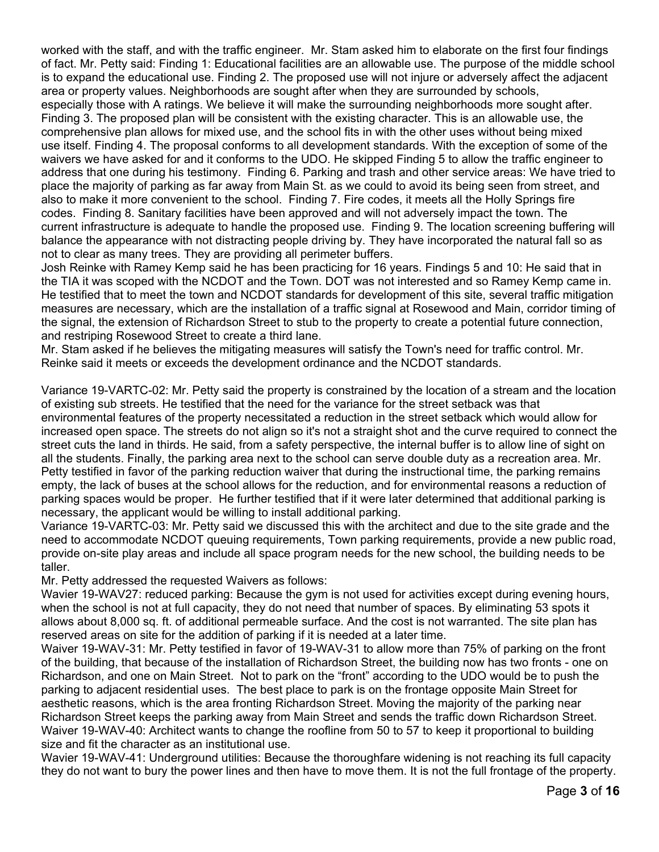worked with the staff, and with the traffic engineer. Mr. Stam asked him to elaborate on the first four findings of fact. Mr. Petty said: Finding 1: Educational facilities are an allowable use. The purpose of the middle school is to expand the educational use. Finding 2. The proposed use will not injure or adversely affect the adjacent area or property values. Neighborhoods are sought after when they are surrounded by schools,

especially those with A ratings. We believe it will make the surrounding neighborhoods more sought after. Finding 3. The proposed plan will be consistent with the existing character. This is an allowable use, the comprehensive plan allows for mixed use, and the school fits in with the other uses without being mixed use itself. Finding 4. The proposal conforms to all development standards. With the exception of some of the waivers we have asked for and it conforms to the UDO. He skipped Finding 5 to allow the traffic engineer to address that one during his testimony. Finding 6. Parking and trash and other service areas: We have tried to place the majority of parking as far away from Main St. as we could to avoid its being seen from street, and also to make it more convenient to the school. Finding 7. Fire codes, it meets all the Holly Springs fire codes. Finding 8. Sanitary facilities have been approved and will not adversely impact the town. The current infrastructure is adequate to handle the proposed use. Finding 9. The location screening buffering will balance the appearance with not distracting people driving by. They have incorporated the natural fall so as not to clear as many trees. They are providing all perimeter buffers.

Josh Reinke with Ramey Kemp said he has been practicing for 16 years. Findings 5 and 10: He said that in the TIA it was scoped with the NCDOT and the Town. DOT was not interested and so Ramey Kemp came in. He testified that to meet the town and NCDOT standards for development of this site, several traffic mitigation measures are necessary, which are the installation of a traffic signal at Rosewood and Main, corridor timing of the signal, the extension of Richardson Street to stub to the property to create a potential future connection, and restriping Rosewood Street to create a third lane.

Mr. Stam asked if he believes the mitigating measures will satisfy the Town's need for traffic control. Mr. Reinke said it meets or exceeds the development ordinance and the NCDOT standards.

Variance 19-VARTC-02: Mr. Petty said the property is constrained by the location of a stream and the location of existing sub streets. He testified that the need for the variance for the street setback was that environmental features of the property necessitated a reduction in the street setback which would allow for increased open space. The streets do not align so it's not a straight shot and the curve required to connect the street cuts the land in thirds. He said, from a safety perspective, the internal buffer is to allow line of sight on all the students. Finally, the parking area next to the school can serve double duty as a recreation area. Mr. Petty testified in favor of the parking reduction waiver that during the instructional time, the parking remains empty, the lack of buses at the school allows for the reduction, and for environmental reasons a reduction of parking spaces would be proper. He further testified that if it were later determined that additional parking is necessary, the applicant would be willing to install additional parking.

Variance 19-VARTC-03: Mr. Petty said we discussed this with the architect and due to the site grade and the need to accommodate NCDOT queuing requirements, Town parking requirements, provide a new public road, provide on-site play areas and include all space program needs for the new school, the building needs to be taller.

Mr. Petty addressed the requested Waivers as follows:

Wavier 19-WAV27: reduced parking: Because the gym is not used for activities except during evening hours, when the school is not at full capacity, they do not need that number of spaces. By eliminating 53 spots it allows about 8,000 sq. ft. of additional permeable surface. And the cost is not warranted. The site plan has reserved areas on site for the addition of parking if it is needed at a later time.

Waiver 19-WAV-31: Mr. Petty testified in favor of 19-WAV-31 to allow more than 75% of parking on the front of the building, that because of the installation of Richardson Street, the building now has two fronts - one on Richardson, and one on Main Street. Not to park on the "front" according to the UDO would be to push the parking to adjacent residential uses. The best place to park is on the frontage opposite Main Street for aesthetic reasons, which is the area fronting Richardson Street. Moving the majority of the parking near Richardson Street keeps the parking away from Main Street and sends the traffic down Richardson Street. Waiver 19-WAV-40: Architect wants to change the roofline from 50 to 57 to keep it proportional to building size and fit the character as an institutional use.

Wavier 19-WAV-41: Underground utilities: Because the thoroughfare widening is not reaching its full capacity they do not want to bury the power lines and then have to move them. It is not the full frontage of the property.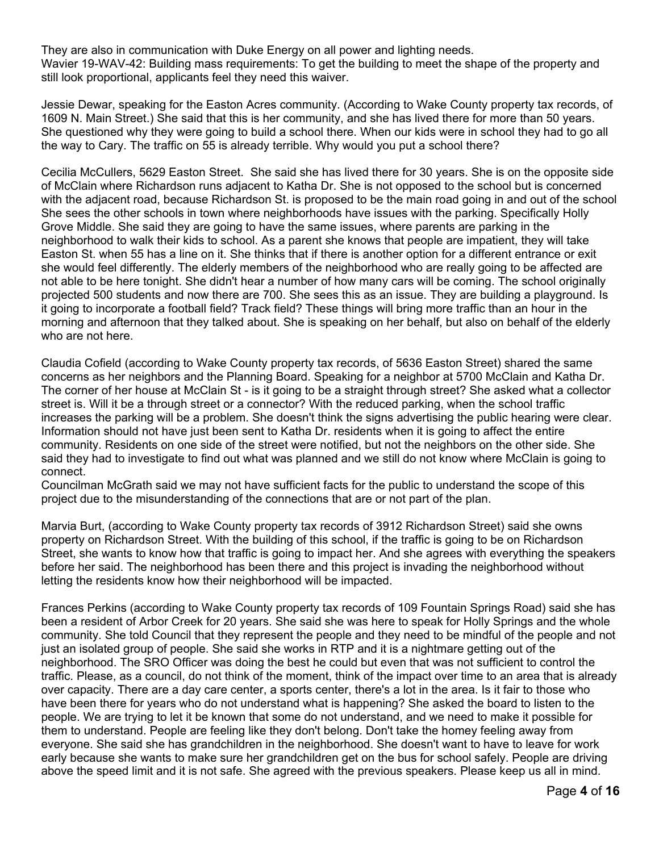They are also in communication with Duke Energy on all power and lighting needs. Wavier 19-WAV-42: Building mass requirements: To get the building to meet the shape of the property and still look proportional, applicants feel they need this waiver.

Jessie Dewar, speaking for the Easton Acres community. (According to Wake County property tax records, of 1609 N. Main Street.) She said that this is her community, and she has lived there for more than 50 years. She questioned why they were going to build a school there. When our kids were in school they had to go all the way to Cary. The traffic on 55 is already terrible. Why would you put a school there?

Cecilia McCullers, 5629 Easton Street. She said she has lived there for 30 years. She is on the opposite side of McClain where Richardson runs adjacent to Katha Dr. She is not opposed to the school but is concerned with the adjacent road, because Richardson St. is proposed to be the main road going in and out of the school She sees the other schools in town where neighborhoods have issues with the parking. Specifically Holly Grove Middle. She said they are going to have the same issues, where parents are parking in the neighborhood to walk their kids to school. As a parent she knows that people are impatient, they will take Easton St. when 55 has a line on it. She thinks that if there is another option for a different entrance or exit she would feel differently. The elderly members of the neighborhood who are really going to be affected are not able to be here tonight. She didn't hear a number of how many cars will be coming. The school originally projected 500 students and now there are 700. She sees this as an issue. They are building a playground. Is it going to incorporate a football field? Track field? These things will bring more traffic than an hour in the morning and afternoon that they talked about. She is speaking on her behalf, but also on behalf of the elderly who are not here.

Claudia Cofield (according to Wake County property tax records, of 5636 Easton Street) shared the same concerns as her neighbors and the Planning Board. Speaking for a neighbor at 5700 McClain and Katha Dr. The corner of her house at McClain St - is it going to be a straight through street? She asked what a collector street is. Will it be a through street or a connector? With the reduced parking, when the school traffic increases the parking will be a problem. She doesn't think the signs advertising the public hearing were clear. Information should not have just been sent to Katha Dr. residents when it is going to affect the entire community. Residents on one side of the street were notified, but not the neighbors on the other side. She said they had to investigate to find out what was planned and we still do not know where McClain is going to connect.

Councilman McGrath said we may not have sufficient facts for the public to understand the scope of this project due to the misunderstanding of the connections that are or not part of the plan.

Marvia Burt, (according to Wake County property tax records of 3912 Richardson Street) said she owns property on Richardson Street. With the building of this school, if the traffic is going to be on Richardson Street, she wants to know how that traffic is going to impact her. And she agrees with everything the speakers before her said. The neighborhood has been there and this project is invading the neighborhood without letting the residents know how their neighborhood will be impacted.

Frances Perkins (according to Wake County property tax records of 109 Fountain Springs Road) said she has been a resident of Arbor Creek for 20 years. She said she was here to speak for Holly Springs and the whole community. She told Council that they represent the people and they need to be mindful of the people and not just an isolated group of people. She said she works in RTP and it is a nightmare getting out of the neighborhood. The SRO Officer was doing the best he could but even that was not sufficient to control the traffic. Please, as a council, do not think of the moment, think of the impact over time to an area that is already over capacity. There are a day care center, a sports center, there's a lot in the area. Is it fair to those who have been there for years who do not understand what is happening? She asked the board to listen to the people. We are trying to let it be known that some do not understand, and we need to make it possible for them to understand. People are feeling like they don't belong. Don't take the homey feeling away from everyone. She said she has grandchildren in the neighborhood. She doesn't want to have to leave for work early because she wants to make sure her grandchildren get on the bus for school safely. People are driving above the speed limit and it is not safe. She agreed with the previous speakers. Please keep us all in mind.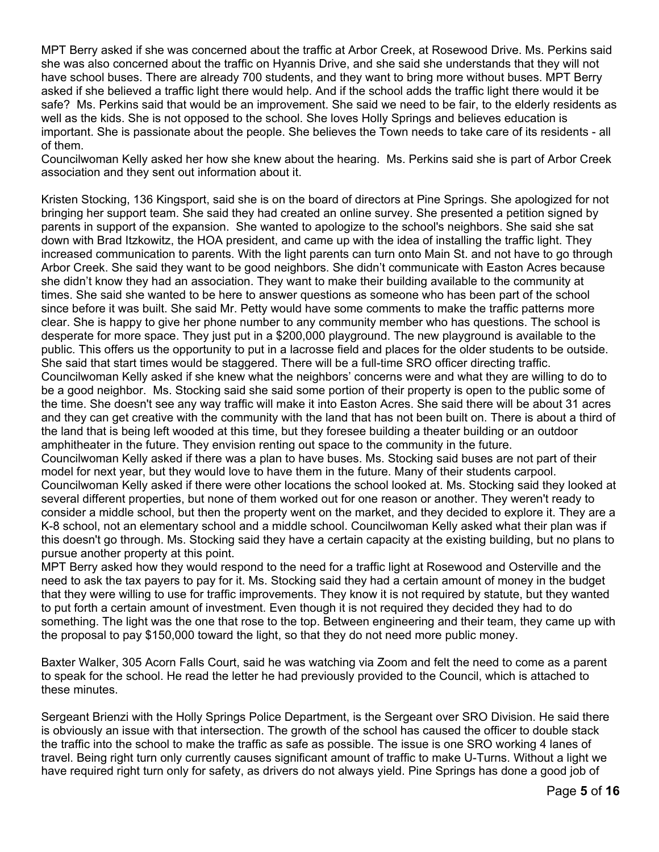MPT Berry asked if she was concerned about the traffic at Arbor Creek, at Rosewood Drive. Ms. Perkins said she was also concerned about the traffic on Hyannis Drive, and she said she understands that they will not have school buses. There are already 700 students, and they want to bring more without buses. MPT Berry asked if she believed a traffic light there would help. And if the school adds the traffic light there would it be safe? Ms. Perkins said that would be an improvement. She said we need to be fair, to the elderly residents as well as the kids. She is not opposed to the school. She loves Holly Springs and believes education is important. She is passionate about the people. She believes the Town needs to take care of its residents - all of them.

Councilwoman Kelly asked her how she knew about the hearing. Ms. Perkins said she is part of Arbor Creek association and they sent out information about it.

Kristen Stocking, 136 Kingsport, said she is on the board of directors at Pine Springs. She apologized for not bringing her support team. She said they had created an online survey. She presented a petition signed by parents in support of the expansion. She wanted to apologize to the school's neighbors. She said she sat down with Brad Itzkowitz, the HOA president, and came up with the idea of installing the traffic light. They increased communication to parents. With the light parents can turn onto Main St. and not have to go through Arbor Creek. She said they want to be good neighbors. She didn't communicate with Easton Acres because she didn't know they had an association. They want to make their building available to the community at times. She said she wanted to be here to answer questions as someone who has been part of the school since before it was built. She said Mr. Petty would have some comments to make the traffic patterns more clear. She is happy to give her phone number to any community member who has questions. The school is desperate for more space. They just put in a \$200,000 playground. The new playground is available to the public. This offers us the opportunity to put in a lacrosse field and places for the older students to be outside. She said that start times would be staggered. There will be a full-time SRO officer directing traffic. Councilwoman Kelly asked if she knew what the neighbors' concerns were and what they are willing to do to be a good neighbor. Ms. Stocking said she said some portion of their property is open to the public some of the time. She doesn't see any way traffic will make it into Easton Acres. She said there will be about 31 acres and they can get creative with the community with the land that has not been built on. There is about a third of the land that is being left wooded at this time, but they foresee building a theater building or an outdoor amphitheater in the future. They envision renting out space to the community in the future. Councilwoman Kelly asked if there was a plan to have buses. Ms. Stocking said buses are not part of their model for next year, but they would love to have them in the future. Many of their students carpool. Councilwoman Kelly asked if there were other locations the school looked at. Ms. Stocking said they looked at several different properties, but none of them worked out for one reason or another. They weren't ready to consider a middle school, but then the property went on the market, and they decided to explore it. They are a K-8 school, not an elementary school and a middle school. Councilwoman Kelly asked what their plan was if this doesn't go through. Ms. Stocking said they have a certain capacity at the existing building, but no plans to

pursue another property at this point.

MPT Berry asked how they would respond to the need for a traffic light at Rosewood and Osterville and the need to ask the tax payers to pay for it. Ms. Stocking said they had a certain amount of money in the budget that they were willing to use for traffic improvements. They know it is not required by statute, but they wanted to put forth a certain amount of investment. Even though it is not required they decided they had to do something. The light was the one that rose to the top. Between engineering and their team, they came up with the proposal to pay \$150,000 toward the light, so that they do not need more public money.

Baxter Walker, 305 Acorn Falls Court, said he was watching via Zoom and felt the need to come as a parent to speak for the school. He read the letter he had previously provided to the Council, which is attached to these minutes.

Sergeant Brienzi with the Holly Springs Police Department, is the Sergeant over SRO Division. He said there is obviously an issue with that intersection. The growth of the school has caused the officer to double stack the traffic into the school to make the traffic as safe as possible. The issue is one SRO working 4 lanes of travel. Being right turn only currently causes significant amount of traffic to make U-Turns. Without a light we have required right turn only for safety, as drivers do not always yield. Pine Springs has done a good job of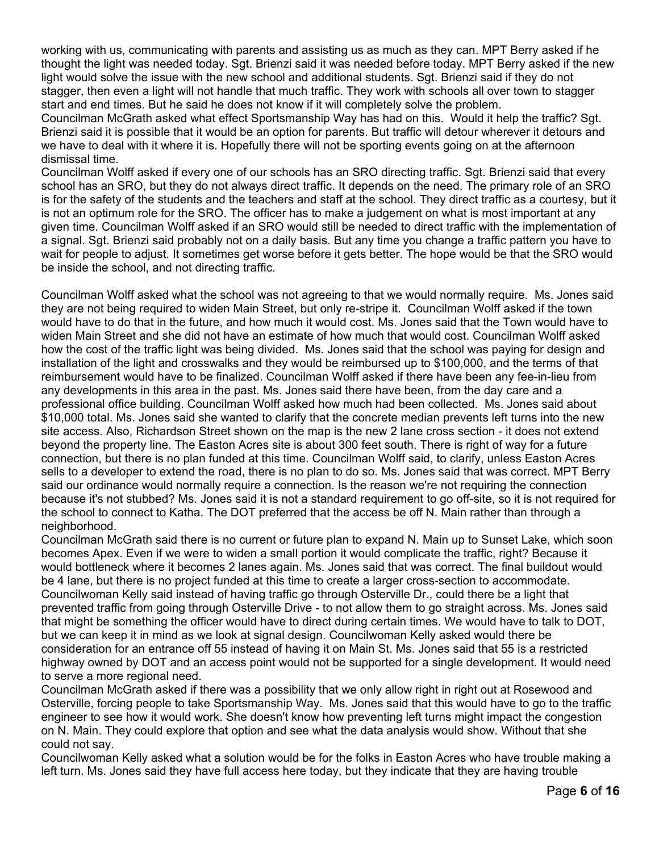working with us, communicating with parents and assisting us as much as they can. MPT Berry asked if he thought the light was needed today. Sgt. Brienzi said it was needed before today. MPT Berry asked if the new light would solve the issue with the new school and additional students. Sgt. Brienzi said if they do not stagger, then even a light will not handle that much traffic. They work with schools all over town to stagger start and end times. But he said he does not know if it will completely solve the problem.

Councilman McGrath asked what effect Sportsmanship Way has had on this. Would it help the traffic? Sgt. Brienzi said it is possible that it would be an option for parents. But traffic will detour wherever it detours and we have to deal with it where it is. Hopefully there will not be sporting events going on at the afternoon dismissal time.

Councilman Wolff asked if every one of our schools has an SRO directing traffic. Sgt. Brienzi said that every school has an SRO, but they do not always direct traffic. It depends on the need. The primary role of an SRO is for the safety of the students and the teachers and staff at the school. They direct traffic as a courtesy, but it is not an optimum role for the SRO. The officer has to make a judgement on what is most important at any given time. Councilman Wolff asked if an SRO would still be needed to direct traffic with the implementation of a signal. Sgt. Brienzi said probably not on a daily basis. But any time you change a traffic pattern you have to wait for people to adjust. It sometimes get worse before it gets better. The hope would be that the SRO would be inside the school, and not directing traffic.

Councilman Wolff asked what the school was not agreeing to that we would normally require. Ms. Jones said they are not being required to widen Main Street, but only re-stripe it. Councilman Wolff asked if the town would have to do that in the future, and how much it would cost. Ms. Jones said that the Town would have to widen Main Street and she did not have an estimate of how much that would cost. Councilman Wolff asked how the cost of the traffic light was being divided. Ms. Jones said that the school was paying for design and installation of the light and crosswalks and they would be reimbursed up to \$100,000, and the terms of that reimbursement would have to be finalized. Councilman Wolff asked if there have been any fee-in-lieu from any developments in this area in the past. Ms. Jones said there have been, from the day care and a professional office building. Councilman Wolff asked how much had been collected. Ms. Jones said about \$10,000 total. Ms. Jones said she wanted to clarify that the concrete median prevents left turns into the new site access. Also, Richardson Street shown on the map is the new 2 lane cross section - it does not extend beyond the property line. The Easton Acres site is about 300 feet south. There is right of way for a future connection, but there is no plan funded at this time. Councilman Wolff said, to clarify, unless Easton Acres sells to a developer to extend the road, there is no plan to do so. Ms. Jones said that was correct. MPT Berry said our ordinance would normally require a connection. Is the reason we're not requiring the connection because it's not stubbed? Ms. Jones said it is not a standard requirement to go off-site, so it is not required for the school to connect to Katha. The DOT preferred that the access be off N. Main rather than through a neighborhood.

Councilman McGrath said there is no current or future plan to expand N. Main up to Sunset Lake, which soon becomes Apex. Even if we were to widen a small portion it would complicate the traffic, right? Because it would bottleneck where it becomes 2 lanes again. Ms. Jones said that was correct. The final buildout would be 4 lane, but there is no project funded at this time to create a larger cross-section to accommodate. Councilwoman Kelly said instead of having traffic go through Osterville Dr., could there be a light that prevented traffic from going through Osterville Drive - to not allow them to go straight across. Ms. Jones said that might be something the officer would have to direct during certain times. We would have to talk to DOT, but we can keep it in mind as we look at signal design. Councilwoman Kelly asked would there be consideration for an entrance off 55 instead of having it on Main St. Ms. Jones said that 55 is a restricted highway owned by DOT and an access point would not be supported for a single development. It would need to serve a more regional need.

Councilman McGrath asked if there was a possibility that we only allow right in right out at Rosewood and Osterville, forcing people to take Sportsmanship Way. Ms. Jones said that this would have to go to the traffic engineer to see how it would work. She doesn't know how preventing left turns might impact the congestion on N. Main. They could explore that option and see what the data analysis would show. Without that she could not say.

Councilwoman Kelly asked what a solution would be for the folks in Easton Acres who have trouble making a left turn. Ms. Jones said they have full access here today, but they indicate that they are having trouble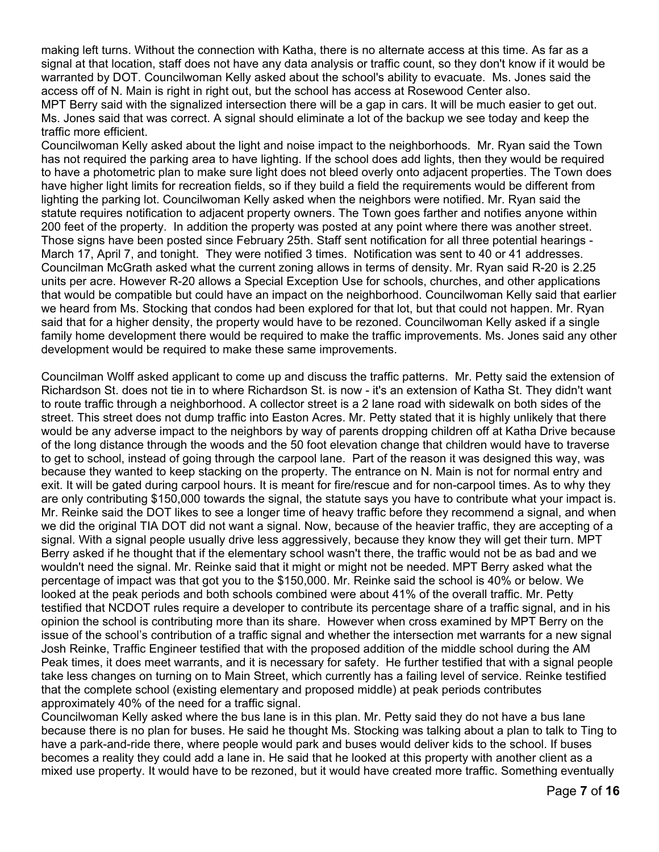making left turns. Without the connection with Katha, there is no alternate access at this time. As far as a signal at that location, staff does not have any data analysis or traffic count, so they don't know if it would be warranted by DOT. Councilwoman Kelly asked about the school's ability to evacuate. Ms. Jones said the access off of N. Main is right in right out, but the school has access at Rosewood Center also.

MPT Berry said with the signalized intersection there will be a gap in cars. It will be much easier to get out. Ms. Jones said that was correct. A signal should eliminate a lot of the backup we see today and keep the traffic more efficient.

Councilwoman Kelly asked about the light and noise impact to the neighborhoods. Mr. Ryan said the Town has not required the parking area to have lighting. If the school does add lights, then they would be required to have a photometric plan to make sure light does not bleed overly onto adjacent properties. The Town does have higher light limits for recreation fields, so if they build a field the requirements would be different from lighting the parking lot. Councilwoman Kelly asked when the neighbors were notified. Mr. Ryan said the statute requires notification to adjacent property owners. The Town goes farther and notifies anyone within 200 feet of the property. In addition the property was posted at any point where there was another street. Those signs have been posted since February 25th. Staff sent notification for all three potential hearings - March 17, April 7, and tonight. They were notified 3 times. Notification was sent to 40 or 41 addresses. Councilman McGrath asked what the current zoning allows in terms of density. Mr. Ryan said R-20 is 2.25 units per acre. However R-20 allows a Special Exception Use for schools, churches, and other applications that would be compatible but could have an impact on the neighborhood. Councilwoman Kelly said that earlier we heard from Ms. Stocking that condos had been explored for that lot, but that could not happen. Mr. Ryan said that for a higher density, the property would have to be rezoned. Councilwoman Kelly asked if a single family home development there would be required to make the traffic improvements. Ms. Jones said any other development would be required to make these same improvements.

Councilman Wolff asked applicant to come up and discuss the traffic patterns. Mr. Petty said the extension of Richardson St. does not tie in to where Richardson St. is now - it's an extension of Katha St. They didn't want to route traffic through a neighborhood. A collector street is a 2 lane road with sidewalk on both sides of the street. This street does not dump traffic into Easton Acres. Mr. Petty stated that it is highly unlikely that there would be any adverse impact to the neighbors by way of parents dropping children off at Katha Drive because of the long distance through the woods and the 50 foot elevation change that children would have to traverse to get to school, instead of going through the carpool lane. Part of the reason it was designed this way, was because they wanted to keep stacking on the property. The entrance on N. Main is not for normal entry and exit. It will be gated during carpool hours. It is meant for fire/rescue and for non-carpool times. As to why they are only contributing \$150,000 towards the signal, the statute says you have to contribute what your impact is. Mr. Reinke said the DOT likes to see a longer time of heavy traffic before they recommend a signal, and when we did the original TIA DOT did not want a signal. Now, because of the heavier traffic, they are accepting of a signal. With a signal people usually drive less aggressively, because they know they will get their turn. MPT Berry asked if he thought that if the elementary school wasn't there, the traffic would not be as bad and we wouldn't need the signal. Mr. Reinke said that it might or might not be needed. MPT Berry asked what the percentage of impact was that got you to the \$150,000. Mr. Reinke said the school is 40% or below. We looked at the peak periods and both schools combined were about 41% of the overall traffic. Mr. Petty testified that NCDOT rules require a developer to contribute its percentage share of a traffic signal, and in his opinion the school is contributing more than its share. However when cross examined by MPT Berry on the issue of the school's contribution of a traffic signal and whether the intersection met warrants for a new signal Josh Reinke, Traffic Engineer testified that with the proposed addition of the middle school during the AM Peak times, it does meet warrants, and it is necessary for safety. He further testified that with a signal people take less changes on turning on to Main Street, which currently has a failing level of service. Reinke testified that the complete school (existing elementary and proposed middle) at peak periods contributes approximately 40% of the need for a traffic signal.

Councilwoman Kelly asked where the bus lane is in this plan. Mr. Petty said they do not have a bus lane because there is no plan for buses. He said he thought Ms. Stocking was talking about a plan to talk to Ting to have a park-and-ride there, where people would park and buses would deliver kids to the school. If buses becomes a reality they could add a lane in. He said that he looked at this property with another client as a mixed use property. It would have to be rezoned, but it would have created more traffic. Something eventually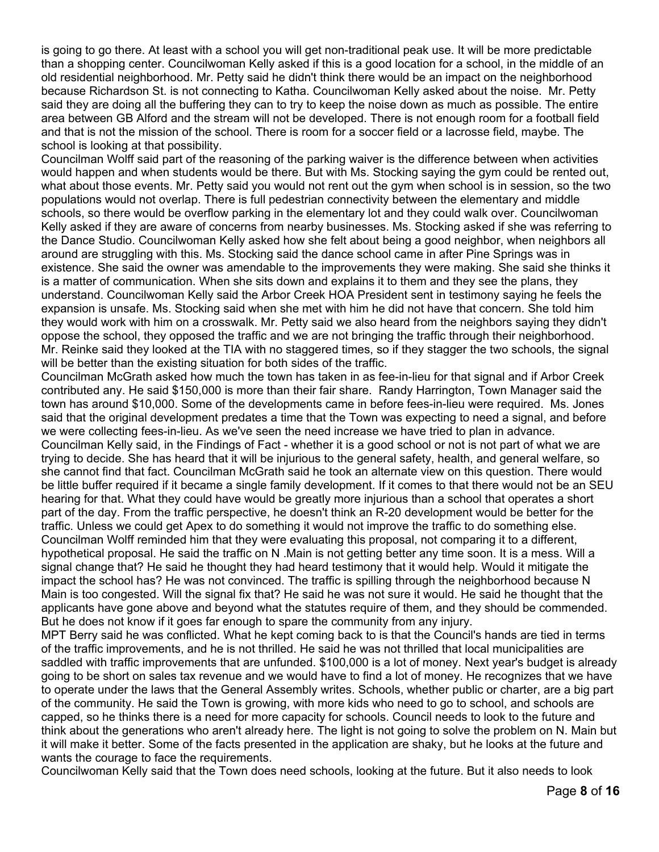is going to go there. At least with a school you will get non-traditional peak use. It will be more predictable than a shopping center. Councilwoman Kelly asked if this is a good location for a school, in the middle of an old residential neighborhood. Mr. Petty said he didn't think there would be an impact on the neighborhood because Richardson St. is not connecting to Katha. Councilwoman Kelly asked about the noise. Mr. Petty said they are doing all the buffering they can to try to keep the noise down as much as possible. The entire area between GB Alford and the stream will not be developed. There is not enough room for a football field and that is not the mission of the school. There is room for a soccer field or a lacrosse field, maybe. The school is looking at that possibility.

Councilman Wolff said part of the reasoning of the parking waiver is the difference between when activities would happen and when students would be there. But with Ms. Stocking saying the gym could be rented out, what about those events. Mr. Petty said you would not rent out the gym when school is in session, so the two populations would not overlap. There is full pedestrian connectivity between the elementary and middle schools, so there would be overflow parking in the elementary lot and they could walk over. Councilwoman Kelly asked if they are aware of concerns from nearby businesses. Ms. Stocking asked if she was referring to the Dance Studio. Councilwoman Kelly asked how she felt about being a good neighbor, when neighbors all around are struggling with this. Ms. Stocking said the dance school came in after Pine Springs was in existence. She said the owner was amendable to the improvements they were making. She said she thinks it is a matter of communication. When she sits down and explains it to them and they see the plans, they understand. Councilwoman Kelly said the Arbor Creek HOA President sent in testimony saying he feels the expansion is unsafe. Ms. Stocking said when she met with him he did not have that concern. She told him they would work with him on a crosswalk. Mr. Petty said we also heard from the neighbors saying they didn't oppose the school, they opposed the traffic and we are not bringing the traffic through their neighborhood. Mr. Reinke said they looked at the TIA with no staggered times, so if they stagger the two schools, the signal will be better than the existing situation for both sides of the traffic.

Councilman McGrath asked how much the town has taken in as fee-in-lieu for that signal and if Arbor Creek contributed any. He said \$150,000 is more than their fair share. Randy Harrington, Town Manager said the town has around \$10,000. Some of the developments came in before fees-in-lieu were required. Ms. Jones said that the original development predates a time that the Town was expecting to need a signal, and before we were collecting fees-in-lieu. As we've seen the need increase we have tried to plan in advance. Councilman Kelly said, in the Findings of Fact - whether it is a good school or not is not part of what we are trying to decide. She has heard that it will be injurious to the general safety, health, and general welfare, so she cannot find that fact. Councilman McGrath said he took an alternate view on this question. There would be little buffer required if it became a single family development. If it comes to that there would not be an SEU hearing for that. What they could have would be greatly more injurious than a school that operates a short part of the day. From the traffic perspective, he doesn't think an R-20 development would be better for the traffic. Unless we could get Apex to do something it would not improve the traffic to do something else. Councilman Wolff reminded him that they were evaluating this proposal, not comparing it to a different, hypothetical proposal. He said the traffic on N .Main is not getting better any time soon. It is a mess. Will a signal change that? He said he thought they had heard testimony that it would help. Would it mitigate the impact the school has? He was not convinced. The traffic is spilling through the neighborhood because N Main is too congested. Will the signal fix that? He said he was not sure it would. He said he thought that the applicants have gone above and beyond what the statutes require of them, and they should be commended. But he does not know if it goes far enough to spare the community from any injury.

MPT Berry said he was conflicted. What he kept coming back to is that the Council's hands are tied in terms of the traffic improvements, and he is not thrilled. He said he was not thrilled that local municipalities are saddled with traffic improvements that are unfunded. \$100,000 is a lot of money. Next year's budget is already going to be short on sales tax revenue and we would have to find a lot of money. He recognizes that we have to operate under the laws that the General Assembly writes. Schools, whether public or charter, are a big part of the community. He said the Town is growing, with more kids who need to go to school, and schools are capped, so he thinks there is a need for more capacity for schools. Council needs to look to the future and think about the generations who aren't already here. The light is not going to solve the problem on N. Main but it will make it better. Some of the facts presented in the application are shaky, but he looks at the future and wants the courage to face the requirements.

Councilwoman Kelly said that the Town does need schools, looking at the future. But it also needs to look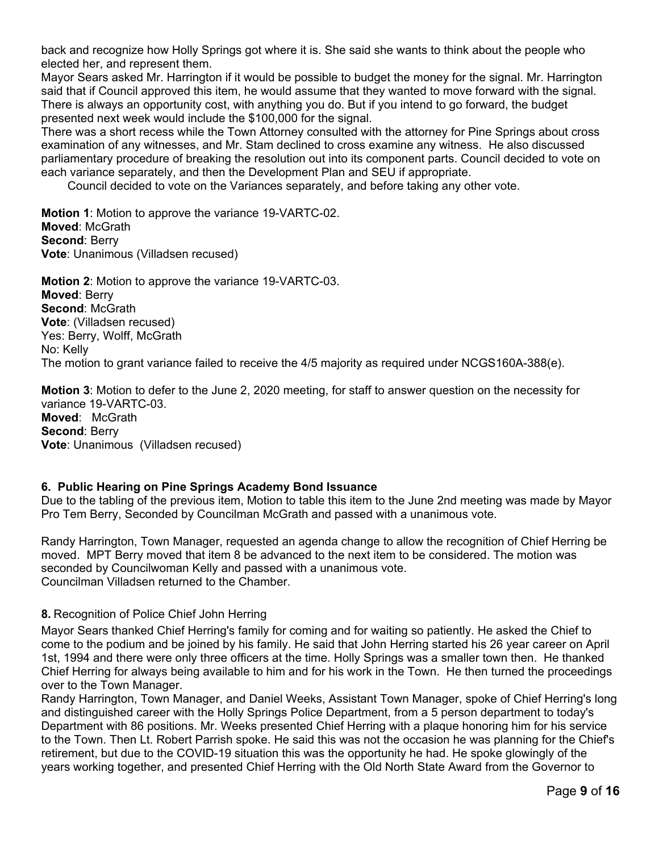back and recognize how Holly Springs got where it is. She said she wants to think about the people who elected her, and represent them.

Mayor Sears asked Mr. Harrington if it would be possible to budget the money for the signal. Mr. Harrington said that if Council approved this item, he would assume that they wanted to move forward with the signal. There is always an opportunity cost, with anything you do. But if you intend to go forward, the budget presented next week would include the \$100,000 for the signal.

There was a short recess while the Town Attorney consulted with the attorney for Pine Springs about cross examination of any witnesses, and Mr. Stam declined to cross examine any witness. He also discussed parliamentary procedure of breaking the resolution out into its component parts. Council decided to vote on each variance separately, and then the Development Plan and SEU if appropriate.

Council decided to vote on the Variances separately, and before taking any other vote.

**Motion 1**: Motion to approve the variance 19-VARTC-02. **Moved**: McGrath **Second**: Berry **Vote**: Unanimous (Villadsen recused)

**Motion 2**: Motion to approve the variance 19-VARTC-03. **Moved**: Berry **Second**: McGrath **Vote**: (Villadsen recused) Yes: Berry, Wolff, McGrath No: Kelly The motion to grant variance failed to receive the 4/5 majority as required under NCGS160A-388(e).

**Motion 3**: Motion to defer to the June 2, 2020 meeting, for staff to answer question on the necessity for variance 19-VARTC-03. **Moved**: McGrath **Second**: Berry **Vote**: Unanimous (Villadsen recused)

## **6. Public Hearing on Pine Springs Academy Bond Issuance**

Due to the tabling of the previous item, Motion to table this item to the June 2nd meeting was made by Mayor Pro Tem Berry, Seconded by Councilman McGrath and passed with a unanimous vote.

Randy Harrington, Town Manager, requested an agenda change to allow the recognition of Chief Herring be moved. MPT Berry moved that item 8 be advanced to the next item to be considered. The motion was seconded by Councilwoman Kelly and passed with a unanimous vote. Councilman Villadsen returned to the Chamber.

## **8.** Recognition of Police Chief John Herring

Mayor Sears thanked Chief Herring's family for coming and for waiting so patiently. He asked the Chief to come to the podium and be joined by his family. He said that John Herring started his 26 year career on April 1st, 1994 and there were only three officers at the time. Holly Springs was a smaller town then. He thanked Chief Herring for always being available to him and for his work in the Town. He then turned the proceedings over to the Town Manager.

Randy Harrington, Town Manager, and Daniel Weeks, Assistant Town Manager, spoke of Chief Herring's long and distinguished career with the Holly Springs Police Department, from a 5 person department to today's Department with 86 positions. Mr. Weeks presented Chief Herring with a plaque honoring him for his service to the Town. Then Lt. Robert Parrish spoke. He said this was not the occasion he was planning for the Chief's retirement, but due to the COVID-19 situation this was the opportunity he had. He spoke glowingly of the years working together, and presented Chief Herring with the Old North State Award from the Governor to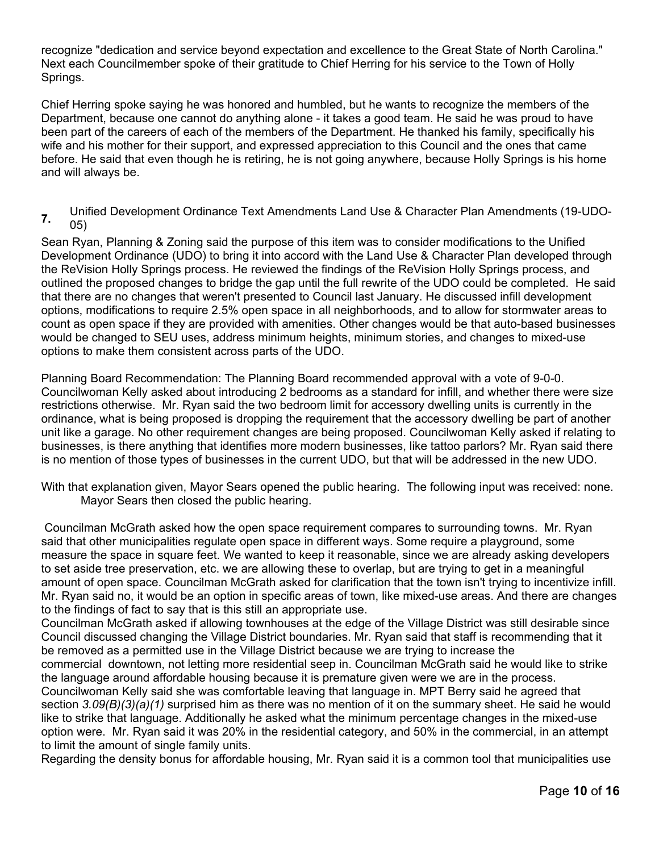recognize "dedication and service beyond expectation and excellence to the Great State of North Carolina." Next each Councilmember spoke of their gratitude to Chief Herring for his service to the Town of Holly Springs.

Chief Herring spoke saying he was honored and humbled, but he wants to recognize the members of the Department, because one cannot do anything alone - it takes a good team. He said he was proud to have been part of the careers of each of the members of the Department. He thanked his family, specifically his wife and his mother for their support, and expressed appreciation to this Council and the ones that came before. He said that even though he is retiring, he is not going anywhere, because Holly Springs is his home and will always be.

**7.** Unified Development Ordinance Text Amendments Land Use & Character Plan Amendments (19-UDO-05)

Sean Ryan, Planning & Zoning said the purpose of this item was to consider modifications to the Unified Development Ordinance (UDO) to bring it into accord with the Land Use & Character Plan developed through the ReVision Holly Springs process. He reviewed the findings of the ReVision Holly Springs process, and outlined the proposed changes to bridge the gap until the full rewrite of the UDO could be completed. He said that there are no changes that weren't presented to Council last January. He discussed infill development options, modifications to require 2.5% open space in all neighborhoods, and to allow for stormwater areas to count as open space if they are provided with amenities. Other changes would be that auto-based businesses would be changed to SEU uses, address minimum heights, minimum stories, and changes to mixed-use options to make them consistent across parts of the UDO.

Planning Board Recommendation: The Planning Board recommended approval with a vote of 9-0-0. Councilwoman Kelly asked about introducing 2 bedrooms as a standard for infill, and whether there were size restrictions otherwise. Mr. Ryan said the two bedroom limit for accessory dwelling units is currently in the ordinance, what is being proposed is dropping the requirement that the accessory dwelling be part of another unit like a garage. No other requirement changes are being proposed. Councilwoman Kelly asked if relating to businesses, is there anything that identifies more modern businesses, like tattoo parlors? Mr. Ryan said there is no mention of those types of businesses in the current UDO, but that will be addressed in the new UDO.

With that explanation given, Mayor Sears opened the public hearing. The following input was received: none. Mayor Sears then closed the public hearing.

 Councilman McGrath asked how the open space requirement compares to surrounding towns. Mr. Ryan said that other municipalities regulate open space in different ways. Some require a playground, some measure the space in square feet. We wanted to keep it reasonable, since we are already asking developers to set aside tree preservation, etc. we are allowing these to overlap, but are trying to get in a meaningful amount of open space. Councilman McGrath asked for clarification that the town isn't trying to incentivize infill. Mr. Ryan said no, it would be an option in specific areas of town, like mixed-use areas. And there are changes to the findings of fact to say that is this still an appropriate use.

Councilman McGrath asked if allowing townhouses at the edge of the Village District was still desirable since Council discussed changing the Village District boundaries. Mr. Ryan said that staff is recommending that it be removed as a permitted use in the Village District because we are trying to increase the commercial downtown, not letting more residential seep in. Councilman McGrath said he would like to strike

the language around affordable housing because it is premature given were we are in the process.

Councilwoman Kelly said she was comfortable leaving that language in. MPT Berry said he agreed that section *3.09(B)(3)(a)(1)* surprised him as there was no mention of it on the summary sheet. He said he would like to strike that language. Additionally he asked what the minimum percentage changes in the mixed-use option were. Mr. Ryan said it was 20% in the residential category, and 50% in the commercial, in an attempt to limit the amount of single family units.

Regarding the density bonus for affordable housing, Mr. Ryan said it is a common tool that municipalities use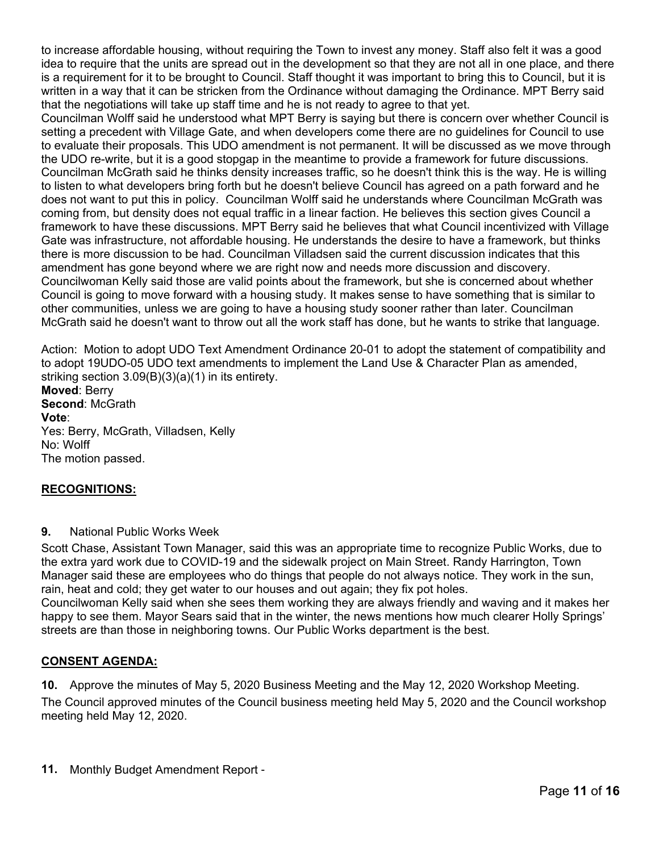to increase affordable housing, without requiring the Town to invest any money. Staff also felt it was a good idea to require that the units are spread out in the development so that they are not all in one place, and there is a requirement for it to be brought to Council. Staff thought it was important to bring this to Council, but it is written in a way that it can be stricken from the Ordinance without damaging the Ordinance. MPT Berry said that the negotiations will take up staff time and he is not ready to agree to that yet.

Councilman Wolff said he understood what MPT Berry is saying but there is concern over whether Council is setting a precedent with Village Gate, and when developers come there are no guidelines for Council to use to evaluate their proposals. This UDO amendment is not permanent. It will be discussed as we move through the UDO re-write, but it is a good stopgap in the meantime to provide a framework for future discussions. Councilman McGrath said he thinks density increases traffic, so he doesn't think this is the way. He is willing to listen to what developers bring forth but he doesn't believe Council has agreed on a path forward and he does not want to put this in policy. Councilman Wolff said he understands where Councilman McGrath was coming from, but density does not equal traffic in a linear faction. He believes this section gives Council a framework to have these discussions. MPT Berry said he believes that what Council incentivized with Village Gate was infrastructure, not affordable housing. He understands the desire to have a framework, but thinks there is more discussion to be had. Councilman Villadsen said the current discussion indicates that this amendment has gone beyond where we are right now and needs more discussion and discovery. Councilwoman Kelly said those are valid points about the framework, but she is concerned about whether Council is going to move forward with a housing study. It makes sense to have something that is similar to other communities, unless we are going to have a housing study sooner rather than later. Councilman McGrath said he doesn't want to throw out all the work staff has done, but he wants to strike that language.

Action: Motion to adopt UDO Text Amendment Ordinance 20-01 to adopt the statement of compatibility and to adopt 19UDO-05 UDO text amendments to implement the Land Use & Character Plan as amended, striking section 3.09(B)(3)(a)(1) in its entirety. **Moved**: Berry **Second**: McGrath **Vote**: Yes: Berry, McGrath, Villadsen, Kelly No: Wolff The motion passed.

## **RECOGNITIONS:**

## **9.** National Public Works Week

Scott Chase, Assistant Town Manager, said this was an appropriate time to recognize Public Works, due to the extra yard work due to COVID-19 and the sidewalk project on Main Street. Randy Harrington, Town Manager said these are employees who do things that people do not always notice. They work in the sun, rain, heat and cold; they get water to our houses and out again; they fix pot holes.

Councilwoman Kelly said when she sees them working they are always friendly and waving and it makes her happy to see them. Mayor Sears said that in the winter, the news mentions how much clearer Holly Springs' streets are than those in neighboring towns. Our Public Works department is the best.

## **CONSENT AGENDA:**

**10.** Approve the minutes of May 5, 2020 Business Meeting and the May 12, 2020 Workshop Meeting. The Council approved minutes of the Council business meeting held May 5, 2020 and the Council workshop meeting held May 12, 2020.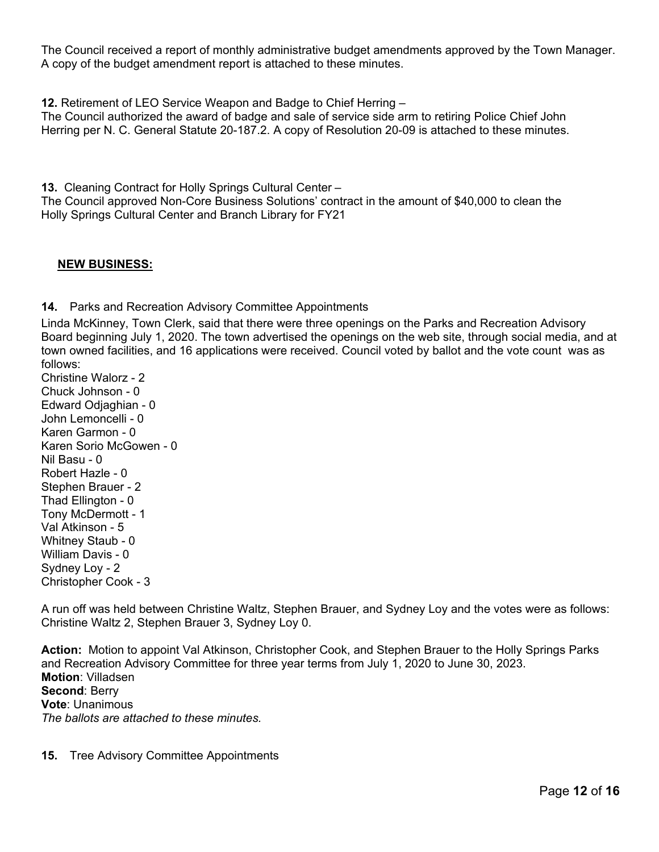The Council received a report of monthly administrative budget amendments approved by the Town Manager. A copy of the budget amendment report is attached to these minutes.

**12.** Retirement of LEO Service Weapon and Badge to Chief Herring –

The Council authorized the award of badge and sale of service side arm to retiring Police Chief John Herring per N. C. General Statute 20-187.2. A copy of Resolution 20-09 is attached to these minutes.

**13.** Cleaning Contract for Holly Springs Cultural Center – The Council approved Non-Core Business Solutions' contract in the amount of \$40,000 to clean the Holly Springs Cultural Center and Branch Library for FY21

#### **NEW BUSINESS:**

**14.** Parks and Recreation Advisory Committee Appointments

Linda McKinney, Town Clerk, said that there were three openings on the Parks and Recreation Advisory Board beginning July 1, 2020. The town advertised the openings on the web site, through social media, and at town owned facilities, and 16 applications were received. Council voted by ballot and the vote count was as follows:

Christine Walorz - 2 Chuck Johnson - 0 Edward Odjaghian - 0 John Lemoncelli - 0 Karen Garmon - 0 Karen Sorio McGowen - 0 Nil Basu - 0 Robert Hazle - 0 Stephen Brauer - 2 Thad Ellington - 0 Tony McDermott - 1 Val Atkinson - 5 Whitney Staub - 0 William Davis - 0 Sydney Loy - 2 Christopher Cook - 3

A run off was held between Christine Waltz, Stephen Brauer, and Sydney Loy and the votes were as follows: Christine Waltz 2, Stephen Brauer 3, Sydney Loy 0.

**Action:** Motion to appoint Val Atkinson, Christopher Cook, and Stephen Brauer to the Holly Springs Parks and Recreation Advisory Committee for three year terms from July 1, 2020 to June 30, 2023. **Motion**: Villadsen **Second**: Berry **Vote**: Unanimous *The ballots are attached to these minutes.* 

**15.** Tree Advisory Committee Appointments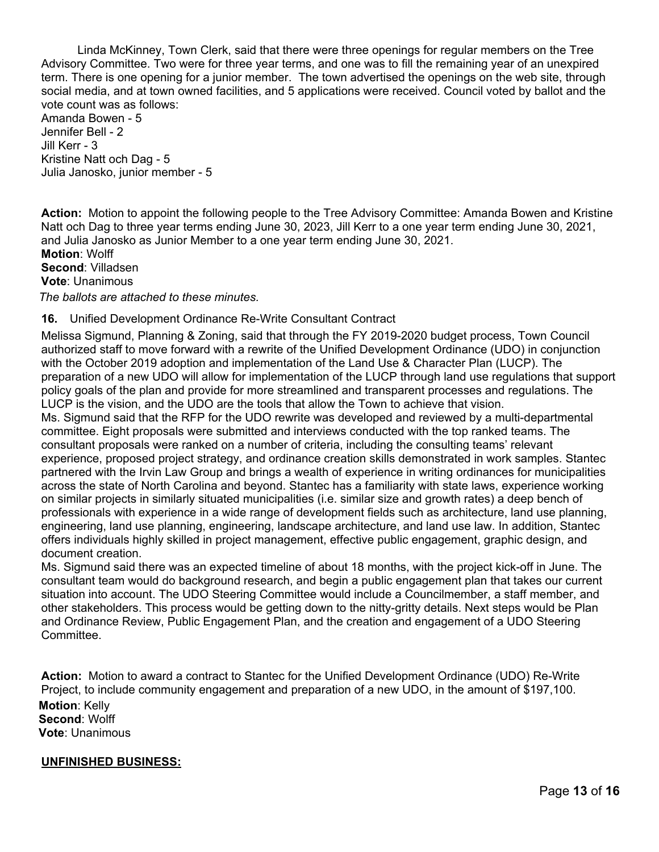Linda McKinney, Town Clerk, said that there were three openings for regular members on the Tree Advisory Committee. Two were for three year terms, and one was to fill the remaining year of an unexpired term. There is one opening for a junior member. The town advertised the openings on the web site, through social media, and at town owned facilities, and 5 applications were received. Council voted by ballot and the vote count was as follows:

Amanda Bowen - 5 Jennifer Bell - 2 Jill Kerr - 3 Kristine Natt och Dag - 5 Julia Janosko, junior member - 5

**Action:** Motion to appoint the following people to the Tree Advisory Committee: Amanda Bowen and Kristine Natt och Dag to three year terms ending June 30, 2023, Jill Kerr to a one year term ending June 30, 2021, and Julia Janosko as Junior Member to a one year term ending June 30, 2021.

**Motion**: Wolff **Second**: Villadsen **Vote**: Unanimous

*The ballots are attached to these minutes.*

# **16.** Unified Development Ordinance Re-Write Consultant Contract

Melissa Sigmund, Planning & Zoning, said that through the FY 2019-2020 budget process, Town Council authorized staff to move forward with a rewrite of the Unified Development Ordinance (UDO) in conjunction with the October 2019 adoption and implementation of the Land Use & Character Plan (LUCP). The preparation of a new UDO will allow for implementation of the LUCP through land use regulations that support policy goals of the plan and provide for more streamlined and transparent processes and regulations. The LUCP is the vision, and the UDO are the tools that allow the Town to achieve that vision.

Ms. Sigmund said that the RFP for the UDO rewrite was developed and reviewed by a multi-departmental committee. Eight proposals were submitted and interviews conducted with the top ranked teams. The consultant proposals were ranked on a number of criteria, including the consulting teams' relevant experience, proposed project strategy, and ordinance creation skills demonstrated in work samples. Stantec partnered with the Irvin Law Group and brings a wealth of experience in writing ordinances for municipalities across the state of North Carolina and beyond. Stantec has a familiarity with state laws, experience working on similar projects in similarly situated municipalities (i.e. similar size and growth rates) a deep bench of professionals with experience in a wide range of development fields such as architecture, land use planning, engineering, land use planning, engineering, landscape architecture, and land use law. In addition, Stantec offers individuals highly skilled in project management, effective public engagement, graphic design, and document creation.

Ms. Sigmund said there was an expected timeline of about 18 months, with the project kick-off in June. The consultant team would do background research, and begin a public engagement plan that takes our current situation into account. The UDO Steering Committee would include a Councilmember, a staff member, and other stakeholders. This process would be getting down to the nitty-gritty details. Next steps would be Plan and Ordinance Review, Public Engagement Plan, and the creation and engagement of a UDO Steering Committee.

**Action:** Motion to award a contract to Stantec for the Unified Development Ordinance (UDO) Re-Write Project, to include community engagement and preparation of a new UDO, in the amount of \$197,100. **Motion**: Kelly **Second**: Wolff **Vote**: Unanimous

#### **UNFINISHED BUSINESS:**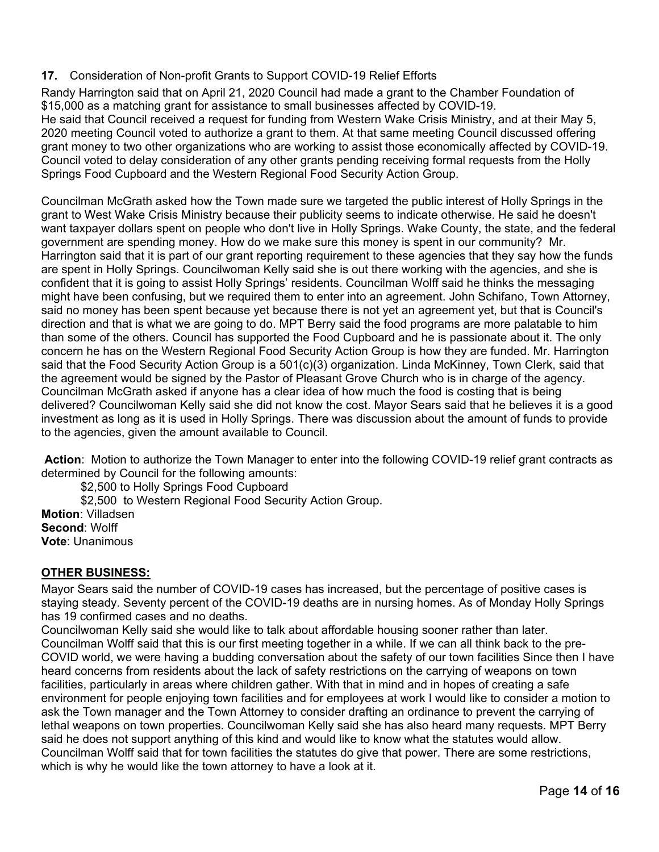# **17.** Consideration of Non-profit Grants to Support COVID-19 Relief Efforts

Randy Harrington said that on April 21, 2020 Council had made a grant to the Chamber Foundation of \$15,000 as a matching grant for assistance to small businesses affected by COVID-19. He said that Council received a request for funding from Western Wake Crisis Ministry, and at their May 5, 2020 meeting Council voted to authorize a grant to them. At that same meeting Council discussed offering grant money to two other organizations who are working to assist those economically affected by COVID-19. Council voted to delay consideration of any other grants pending receiving formal requests from the Holly Springs Food Cupboard and the Western Regional Food Security Action Group.

Councilman McGrath asked how the Town made sure we targeted the public interest of Holly Springs in the grant to West Wake Crisis Ministry because their publicity seems to indicate otherwise. He said he doesn't want taxpayer dollars spent on people who don't live in Holly Springs. Wake County, the state, and the federal government are spending money. How do we make sure this money is spent in our community? Mr. Harrington said that it is part of our grant reporting requirement to these agencies that they say how the funds are spent in Holly Springs. Councilwoman Kelly said she is out there working with the agencies, and she is confident that it is going to assist Holly Springs' residents. Councilman Wolff said he thinks the messaging might have been confusing, but we required them to enter into an agreement. John Schifano, Town Attorney, said no money has been spent because yet because there is not yet an agreement yet, but that is Council's direction and that is what we are going to do. MPT Berry said the food programs are more palatable to him than some of the others. Council has supported the Food Cupboard and he is passionate about it. The only concern he has on the Western Regional Food Security Action Group is how they are funded. Mr. Harrington said that the Food Security Action Group is a 501(c)(3) organization. Linda McKinney, Town Clerk, said that the agreement would be signed by the Pastor of Pleasant Grove Church who is in charge of the agency. Councilman McGrath asked if anyone has a clear idea of how much the food is costing that is being delivered? Councilwoman Kelly said she did not know the cost. Mayor Sears said that he believes it is a good investment as long as it is used in Holly Springs. There was discussion about the amount of funds to provide to the agencies, given the amount available to Council.

**Action**: Motion to authorize the Town Manager to enter into the following COVID-19 relief grant contracts as determined by Council for the following amounts:

\$2,500 to Holly Springs Food Cupboard

 \$2,500 to Western Regional Food Security Action Group. **Motion**: Villadsen **Second**: Wolff **Vote**: Unanimous

# **OTHER BUSINESS:**

Mayor Sears said the number of COVID-19 cases has increased, but the percentage of positive cases is staying steady. Seventy percent of the COVID-19 deaths are in nursing homes. As of Monday Holly Springs has 19 confirmed cases and no deaths.

Councilwoman Kelly said she would like to talk about affordable housing sooner rather than later. Councilman Wolff said that this is our first meeting together in a while. If we can all think back to the pre-COVID world, we were having a budding conversation about the safety of our town facilities Since then I have heard concerns from residents about the lack of safety restrictions on the carrying of weapons on town facilities, particularly in areas where children gather. With that in mind and in hopes of creating a safe environment for people enjoying town facilities and for employees at work I would like to consider a motion to ask the Town manager and the Town Attorney to consider drafting an ordinance to prevent the carrying of lethal weapons on town properties. Councilwoman Kelly said she has also heard many requests. MPT Berry said he does not support anything of this kind and would like to know what the statutes would allow. Councilman Wolff said that for town facilities the statutes do give that power. There are some restrictions, which is why he would like the town attorney to have a look at it.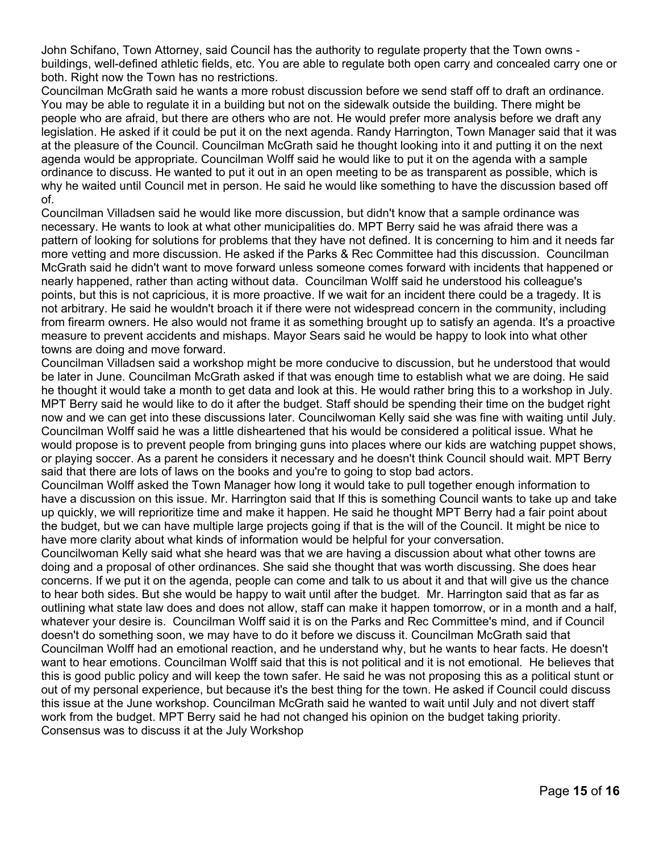John Schifano, Town Attorney, said Council has the authority to regulate property that the Town owns buildings, well-defined athletic fields, etc. You are able to regulate both open carry and concealed carry one or both. Right now the Town has no restrictions.

Councilman McGrath said he wants a more robust discussion before we send staff off to draft an ordinance. You may be able to regulate it in a building but not on the sidewalk outside the building. There might be people who are afraid, but there are others who are not. He would prefer more analysis before we draft any legislation. He asked if it could be put it on the next agenda. Randy Harrington, Town Manager said that it was at the pleasure of the Council. Councilman McGrath said he thought looking into it and putting it on the next agenda would be appropriate. Councilman Wolff said he would like to put it on the agenda with a sample ordinance to discuss. He wanted to put it out in an open meeting to be as transparent as possible, which is why he waited until Council met in person. He said he would like something to have the discussion based off of.

Councilman Villadsen said he would like more discussion, but didn't know that a sample ordinance was necessary. He wants to look at what other municipalities do. MPT Berry said he was afraid there was a pattern of looking for solutions for problems that they have not defined. It is concerning to him and it needs far more vetting and more discussion. He asked if the Parks & Rec Committee had this discussion. Councilman McGrath said he didn't want to move forward unless someone comes forward with incidents that happened or nearly happened, rather than acting without data. Councilman Wolff said he understood his colleague's points, but this is not capricious, it is more proactive. If we wait for an incident there could be a tragedy. It is not arbitrary. He said he wouldn't broach it if there were not widespread concern in the community, including from firearm owners. He also would not frame it as something brought up to satisfy an agenda. It's a proactive measure to prevent accidents and mishaps. Mayor Sears said he would be happy to look into what other towns are doing and move forward.

Councilman Villadsen said a workshop might be more conducive to discussion, but he understood that would be later in June. Councilman McGrath asked if that was enough time to establish what we are doing. He said he thought it would take a month to get data and look at this. He would rather bring this to a workshop in July. MPT Berry said he would like to do it after the budget. Staff should be spending their time on the budget right now and we can get into these discussions later. Councilwoman Kelly said she was fine with waiting until July. Councilman Wolff said he was a little disheartened that his would be considered a political issue. What he would propose is to prevent people from bringing guns into places where our kids are watching puppet shows, or playing soccer. As a parent he considers it necessary and he doesn't think Council should wait. MPT Berry said that there are lots of laws on the books and you're to going to stop bad actors.

Councilman Wolff asked the Town Manager how long it would take to pull together enough information to have a discussion on this issue. Mr. Harrington said that If this is something Council wants to take up and take up quickly, we will reprioritize time and make it happen. He said he thought MPT Berry had a fair point about the budget, but we can have multiple large projects going if that is the will of the Council. It might be nice to have more clarity about what kinds of information would be helpful for your conversation.

Councilwoman Kelly said what she heard was that we are having a discussion about what other towns are doing and a proposal of other ordinances. She said she thought that was worth discussing. She does hear concerns. If we put it on the agenda, people can come and talk to us about it and that will give us the chance to hear both sides. But she would be happy to wait until after the budget. Mr. Harrington said that as far as outlining what state law does and does not allow, staff can make it happen tomorrow, or in a month and a half, whatever your desire is. Councilman Wolff said it is on the Parks and Rec Committee's mind, and if Council doesn't do something soon, we may have to do it before we discuss it. Councilman McGrath said that Councilman Wolff had an emotional reaction, and he understand why, but he wants to hear facts. He doesn't want to hear emotions. Councilman Wolff said that this is not political and it is not emotional. He believes that this is good public policy and will keep the town safer. He said he was not proposing this as a political stunt or out of my personal experience, but because it's the best thing for the town. He asked if Council could discuss this issue at the June workshop. Councilman McGrath said he wanted to wait until July and not divert staff work from the budget. MPT Berry said he had not changed his opinion on the budget taking priority. Consensus was to discuss it at the July Workshop